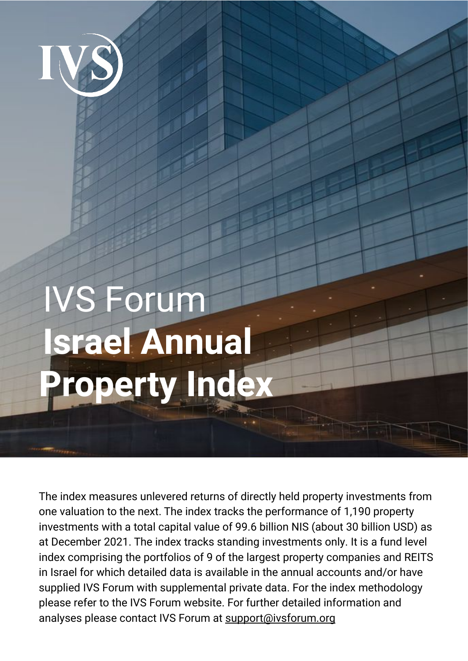

# IVS Forum **Israel Annual Property Index**

The index measures unlevered returns of directly held property investments from one valuation to the next. The index tracks the performance of 1,190 property investments with a total capital value of 99.6 billion NIS (about 30 billion USD) as at December 2021. The index tracks standing investments only. It is a fund level index comprising the portfolios of 9 of the largest property companies and REITS in Israel for which detailed data is available in the annual accounts and/or have supplied IVS Forum with supplemental private data. For the index methodology please refer to the IVS Forum website. For further detailed information and analyses please contact IVS Forum at [support@ivsforum.org](mailto:support@ivsforum.org)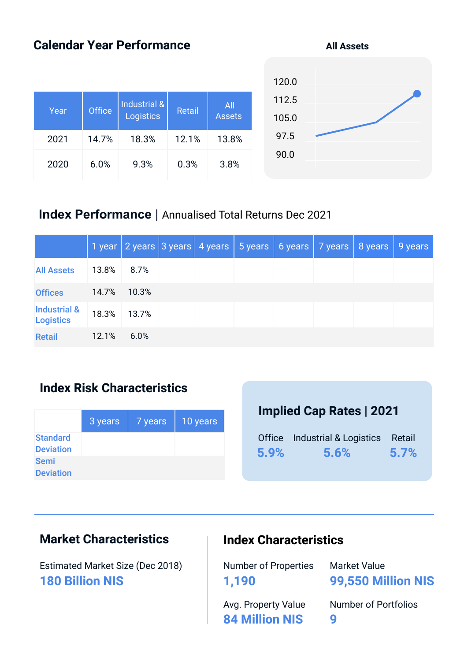# **Calendar Year Performance**

| Year | <b>Office</b> | Industrial &<br>Logistics | Retail | All<br><b>Assets</b> |
|------|---------------|---------------------------|--------|----------------------|
| 2021 | 14.7%         | 18.3%                     | 12.1%  | 13.8%                |
| 2020 | 6.0%          | 9.3%                      | 0.3%   | 3.8%                 |

| 120.0 |  |
|-------|--|
| 112.5 |  |
| 105.0 |  |
| 97.5  |  |
| 90.0  |  |
|       |  |

#### **Index Performance** | Annualised Total Returns Dec 2021

|                                             |       |       |  | 1 year 2 years 3 years 4 years 5 years 6 years 7 years 8 years 9 years |  |  |
|---------------------------------------------|-------|-------|--|------------------------------------------------------------------------|--|--|
| <b>All Assets</b>                           | 13.8% | 8.7%  |  |                                                                        |  |  |
| <b>Offices</b>                              | 14.7% | 10.3% |  |                                                                        |  |  |
| <b>Industrial &amp;</b><br><b>Logistics</b> | 18.3% | 13.7% |  |                                                                        |  |  |
| <b>Retail</b>                               | 12.1% | 6.0%  |  |                                                                        |  |  |

#### **Index Risk Characteristics**

|                                     | 3 years | 7 years | 10 years |
|-------------------------------------|---------|---------|----------|
| <b>Standard</b><br><b>Deviation</b> |         |         |          |
| <b>Semi</b><br><b>Deviation</b>     |         |         |          |

### **Implied Cap Rates | 2021**

|      | Office Industrial & Logistics Retail |      |
|------|--------------------------------------|------|
| 5.9% | 5.6%                                 | 5.7% |

# **Market Characteristics**

Estimated Market Size (Dec 2018) **180 Billion NIS**

#### **Index Characteristics**

Number of Properties **1,190**

Market Value **99,550 Million NIS**

Avg. Property Value **84 Million NIS**

Number of Portfolios **9**

**All Assets**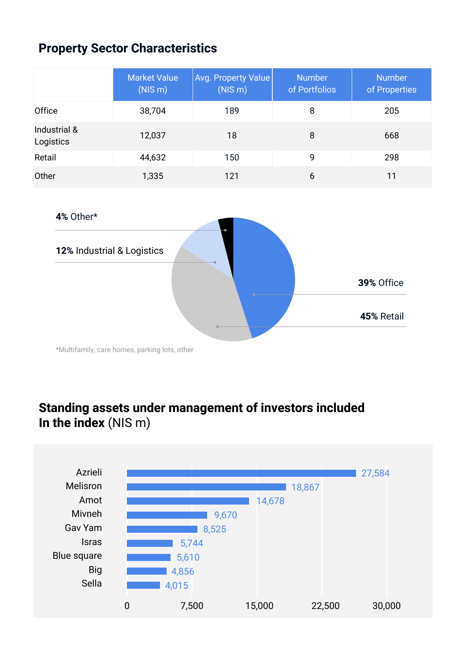# **Property Sector Characteristics**

|                           | <b>Market Value</b><br>(NIS <sub>m</sub> ) | Avg. Property Value<br>(NIS <sub>m</sub> ) | <b>Number</b><br>of Portfolios | <b>Number</b><br>of Properties |
|---------------------------|--------------------------------------------|--------------------------------------------|--------------------------------|--------------------------------|
| Office                    | 38,704                                     | 189                                        | 8                              | 205                            |
| Industrial &<br>Logistics | 12,037                                     | 18                                         | 8                              | 668                            |
| Retail                    | 44,632                                     | 150                                        | 9                              | 298                            |
| Other                     | 1,335                                      | 121                                        | 6                              | 11                             |



\*Multifamily, care homes, parking lots, other

# **Standing assets under management of investors included In the index** (NIS m)

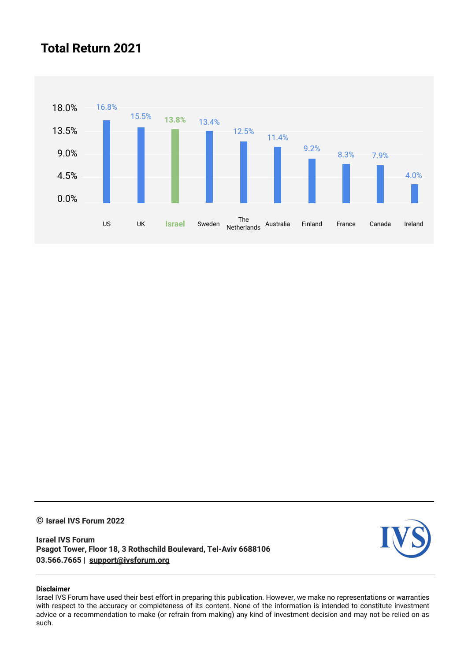#### **Total Return 2021**



**© Israel IVS Forum 2022** 

**Israel IVS Forum Psagot Tower, Floor 18, 3 Rothschild Boulevard, Tel-Aviv 6688106 03.566.7665 | [support@ivsforum.org](mailto:support@ivsforum.org)**



#### **Disclaimer**

Israel IVS Forum have used their best effort in preparing this publication. However, we make no representations or warranties with respect to the accuracy or completeness of its content. None of the information is intended to constitute investment advice or a recommendation to make (or refrain from making) any kind of investment decision and may not be relied on as such.